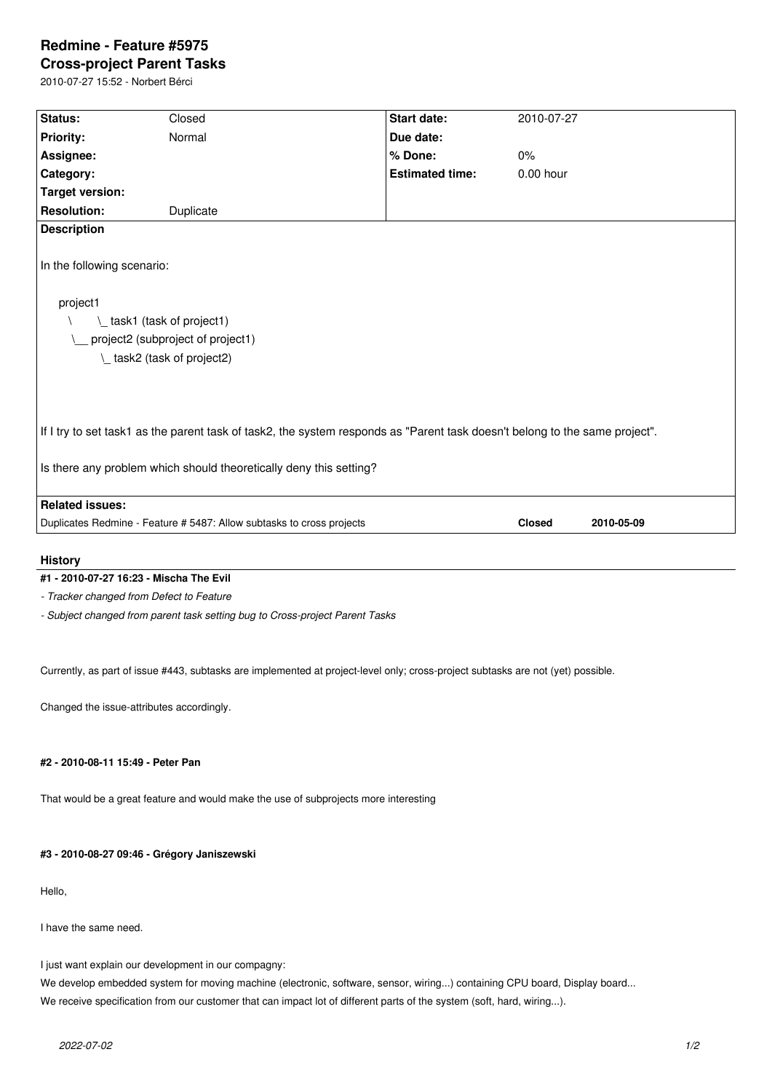# **Redmine - Feature #5975**

**Cross-project Parent Tasks** 2010-07-27 15:52 - Norbert Bérci

| Status:                    | Closed                                                                                                                      | Start date:            | 2010-07-27    |            |
|----------------------------|-----------------------------------------------------------------------------------------------------------------------------|------------------------|---------------|------------|
| Priority:                  | Normal                                                                                                                      | Due date:              |               |            |
| Assignee:                  |                                                                                                                             | % Done:                | 0%            |            |
| Category:                  |                                                                                                                             | <b>Estimated time:</b> | 0.00 hour     |            |
| <b>Target version:</b>     |                                                                                                                             |                        |               |            |
| <b>Resolution:</b>         | Duplicate                                                                                                                   |                        |               |            |
| <b>Description</b>         |                                                                                                                             |                        |               |            |
|                            |                                                                                                                             |                        |               |            |
| In the following scenario: |                                                                                                                             |                        |               |            |
|                            |                                                                                                                             |                        |               |            |
| project1                   |                                                                                                                             |                        |               |            |
|                            | L task1 (task of project1)                                                                                                  |                        |               |            |
|                            | project2 (subproject of project1)                                                                                           |                        |               |            |
|                            | L task2 (task of project2)                                                                                                  |                        |               |            |
|                            |                                                                                                                             |                        |               |            |
|                            |                                                                                                                             |                        |               |            |
|                            |                                                                                                                             |                        |               |            |
|                            | If I try to set task1 as the parent task of task2, the system responds as "Parent task doesn't belong to the same project". |                        |               |            |
|                            |                                                                                                                             |                        |               |            |
|                            | Is there any problem which should theoretically deny this setting?                                                          |                        |               |            |
|                            |                                                                                                                             |                        |               |            |
| <b>Related issues:</b>     |                                                                                                                             |                        |               |            |
|                            | Duplicates Redmine - Feature # 5487: Allow subtasks to cross projects                                                       |                        | <b>Closed</b> | 2010-05-09 |
|                            |                                                                                                                             |                        |               |            |

# **History**

## **#1 - 2010-07-27 16:23 - Mischa The Evil**

*- Tracker changed from Defect to Feature*

*- Subject changed from parent task setting bug to Cross-project Parent Tasks*

Currently, as part of issue #443, subtasks are implemented at project-level only; cross-project subtasks are not (yet) possible.

Changed the issue-attributes accordingly.

## **#2 - 2010-08-11 15:49 - Peter Pan**

That would be a great feature and would make the use of subprojects more interesting

## **#3 - 2010-08-27 09:46 - Grégory Janiszewski**

Hello,

I have the same need.

I just want explain our development in our compagny:

We develop embedded system for moving machine (electronic, software, sensor, wiring...) containing CPU board, Display board... We receive specification from our customer that can impact lot of different parts of the system (soft, hard, wiring...).